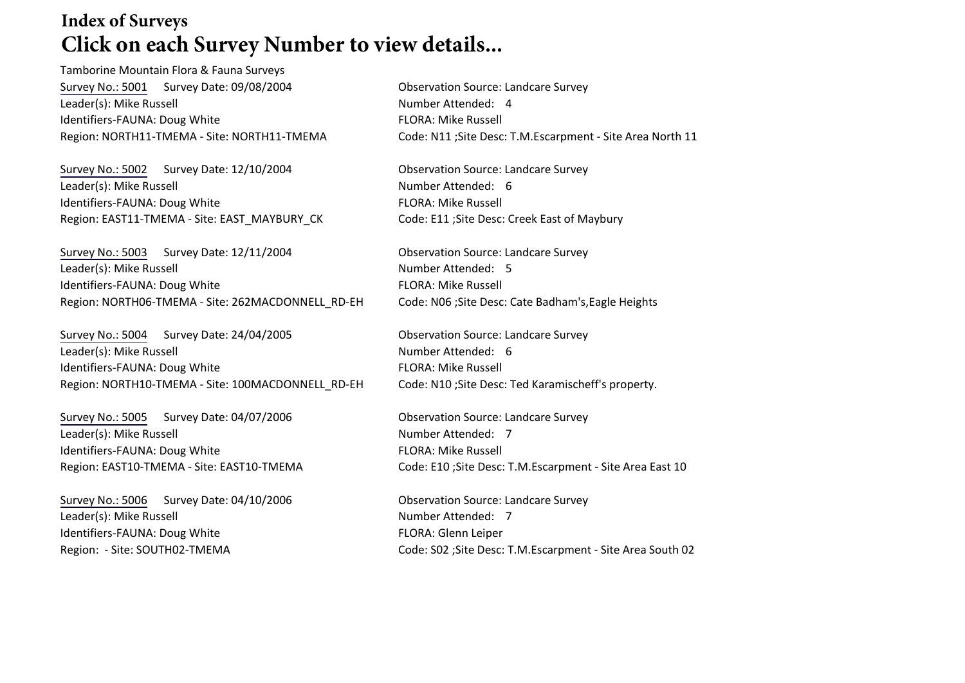## **Index of Surveys Click on each Survey Number to view details...**

Tamborine Mountain Flora & Fauna Surveys [Survey No.: 5001](http://www.tamborinemtnlandcare.org.au/downloads/biodat/SURV5001.pdf) Survey Date: 09/08/2004 Observation Source: Landcare Survey Leader(s): Mike Russell Number Attended: 4 Identifiers-FAUNA: Doug White FLORA: Mike Russell

[Survey No.: 5002](http://www.tamborinemtnlandcare.org.au/downloads/biodat/SURV5002.pdf) Survey Date: 12/10/2004 Observation Source: Landcare Survey Leader(s): Mike Russell Number Attended: 6 Identifiers-FAUNA: Doug White FLORA: Mike Russell Region: EAST11-TMEMA - Site: EAST\_MAYBURY\_CK Code: E11 ;Site Desc: Creek East of Maybury

[Survey No.: 5003](http://www.tamborinemtnlandcare.org.au/downloads/biodat/SURV5003.pdf) Survey Date: 12/11/2004 Observation Source: Landcare Survey Leader(s): Mike Russell Number Attended: 5 Identifiers-FAUNA: Doug White FLORA: Mike Russell Region: NORTH06-TMEMA - Site: 262MACDONNELL\_RD-EH Code: N06 ; Site Desc: Cate Badham's, Eagle Heights

[Survey No.: 5004](http://www.tamborinemtnlandcare.org.au/downloads/biodat/SURV5004.pdf) Survey Date: 24/04/2005 Observation Source: Landcare Survey Leader(s): Mike Russell Number Attended: 6 Identifiers-FAUNA: Doug White FLORA: Mike Russell Region: NORTH10-TMEMA - Site: 100MACDONNELL\_RD-EH Code: N10 ;Site Desc: Ted Karamischeff's property.

[Survey No.: 5005](http://www.tamborinemtnlandcare.org.au/downloads/biodat/SURV5005.pdf) Survey Date: 04/07/2006 Observation Source: Landcare Survey Leader(s): Mike Russell Number Attended: 7 Identifiers-FAUNA: Doug White FLORA: Mike Russell

[Survey No.: 5006](http://www.tamborinemtnlandcare.org.au/downloads/biodat/SURV5006.pdf) Survey Date: 04/10/2006 Quita Conservation Source: Landcare Survey Leader(s): Mike Russell Number Attended: 7 Identifiers-FAUNA: Doug White FLORA: Glenn Leiper

Region: NORTH11-TMEMA - Site: NORTH11-TMEMA Code: N11 ;Site Desc: T.M.Escarpment - Site Area North 11

Region: EAST10-TMEMA - Site: EAST10-TMEMA Code: E10 ;Site Desc: T.M.Escarpment - Site Area East 10

Region: - Site: SOUTH02-TMEMA Code: S02 ;Site Desc: T.M.Escarpment - Site Area South 02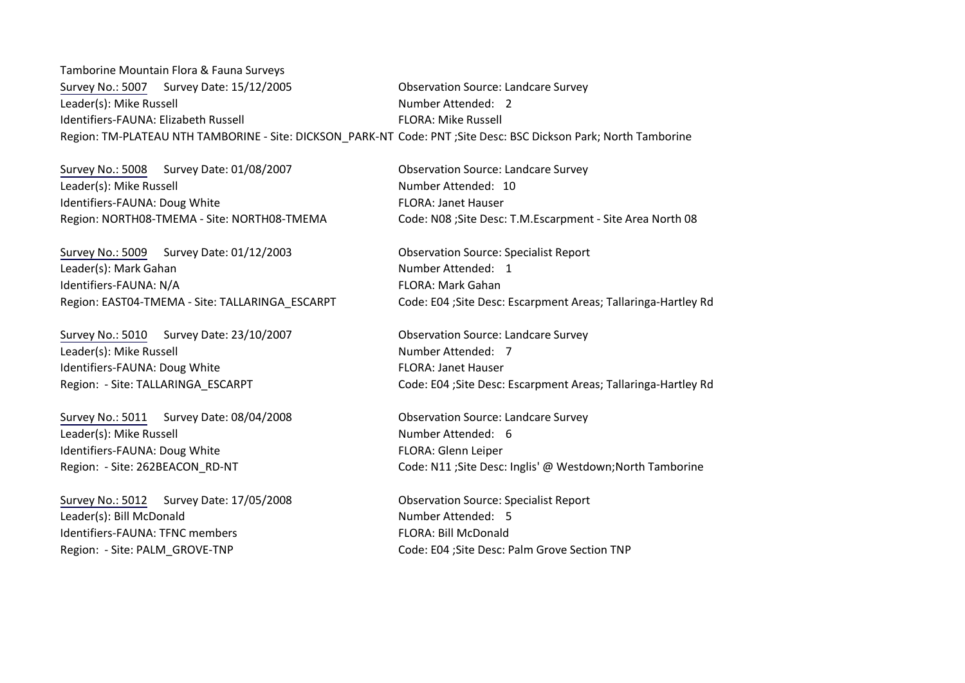Tamborine Mountain Flora & Fauna Surveys [Survey No.: 5007](http://www.tamborinemtnlandcare.org.au/downloads/biodat/SURV5007.pdf) Survey Date: 15/12/2005 Qbservation Source: Landcare Survey Leader(s): Mike Russell Number Attended: 2 Identifiers-FAUNA: Elizabeth Russell FLORA: Mike Russell Region: TM-PLATEAU NTH TAMBORINE - Site: DICKSON\_PARK-NT Code: PNT ;Site Desc: BSC Dickson Park; North Tamborine

[Survey No.: 5008](http://www.tamborinemtnlandcare.org.au/downloads/biodat/SURV5008.pdf) Survey Date: 01/08/2007 Observation Source: Landcare Survey Leader(s): Mike Russell Number Attended: 10 Identifiers-FAUNA: Doug White FLORA: Janet Hauser

[Survey No.: 5009](http://www.tamborinemtnlandcare.org.au/downloads/biodat/SURV5009.pdf) Survey Date: 01/12/2003 Observation Source: Specialist Report Leader(s): Mark Gahan Number Attended: 1 Identifiers-FAUNA: N/A FLORA: Mark Gahan

[Survey No.: 5010](http://www.tamborinemtnlandcare.org.au/downloads/biodat/SURV5010.pdf) Survey Date: 23/10/2007 Observation Source: Landcare Survey Leader(s): Mike Russell Number Attended: 7 Identifiers-FAUNA: Doug White FLORA: Janet Hauser

[Survey No.: 5011](http://www.tamborinemtnlandcare.org.au/downloads/biodat/SURV5011.pdf) Survey Date: 08/04/2008 Observation Source: Landcare Survey Leader(s): Mike Russell Number Attended: 6 Identifiers-FAUNA: Doug White FLORA: Glenn Leiper

[Survey No.: 5012](http://www.tamborinemtnlandcare.org.au/downloads/biodat/SURV5012.pdf) Survey Date: 17/05/2008 Observation Source: Specialist Report Leader(s): Bill McDonald Number Attended: 5 Identifiers-FAUNA: TFNC members FLORA: Bill McDonald

Region: NORTH08-TMEMA - Site: NORTH08-TMEMA Code: N08 ;Site Desc: T.M.Escarpment - Site Area North 08

Region: EAST04-TMEMA - Site: TALLARINGA\_ESCARPT Code: E04 ;Site Desc: Escarpment Areas; Tallaringa-Hartley Rd

Region: - Site: TALLARINGA\_ESCARPT (Code: E04 ;Site Desc: Escarpment Areas; Tallaringa-Hartley Rd

Region: - Site: 262BEACON\_RD-NT Code: N11 ;Site Desc: Inglis' @ Westdown;North Tamborine

Region: - Site: PALM\_GROVE-TNP Code: E04 ;Site Desc: Palm Grove Section TNP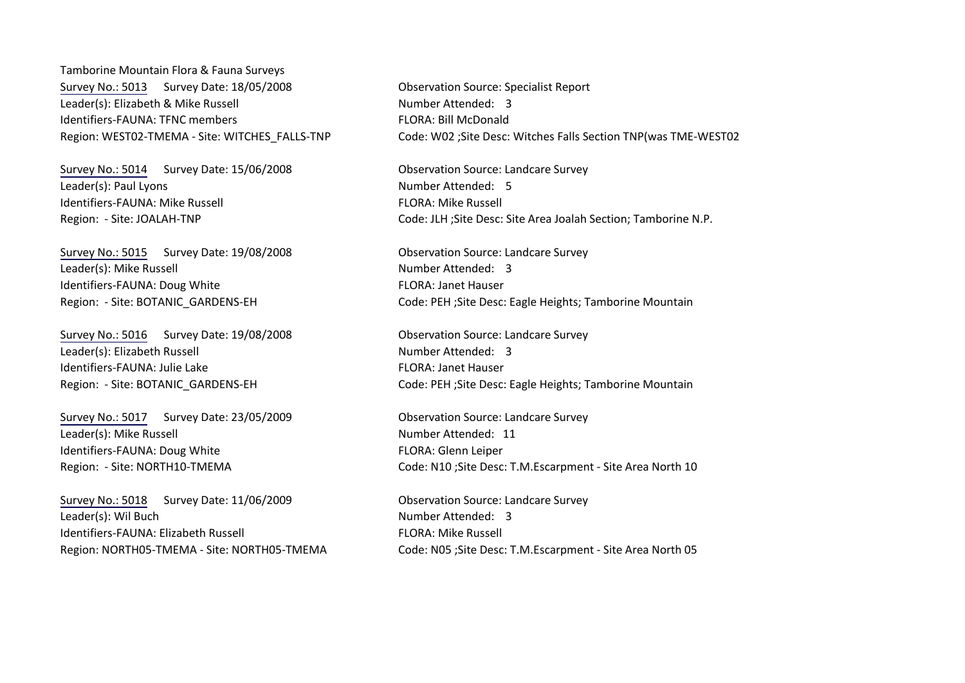Tamborine Mountain Flora & Fauna Surveys [Survey No.: 5013](http://www.tamborinemtnlandcare.org.au/downloads/biodat/Surv5013.pdf) Survey Date: 18/05/2008 Observation Source: Specialist Report Leader(s): Elizabeth & Mike Russell Number Attended: 3 Identifiers-FAUNA: TFNC members FLORA: Bill McDonald

[Survey No.: 5014](http://www.tamborinemtnlandcare.org.au/downloads/biodat/SURV5014.pdf) Survey Date: 15/06/2008 Observation Source: Landcare Survey Leader(s): Paul Lyons Number Attended: 5 Identifiers-FAUNA: Mike Russell FLORA: Mike Russell

[Survey No.: 5015](http://www.tamborinemtnlandcare.org.au/downloads/biodat/SURV5015.pdf) Survey Date: 19/08/2008 Observation Source: Landcare Survey Leader(s): Mike Russell Number Attended: 3 Identifiers-FAUNA: Doug White FLORA: Janet Hauser

[Survey No.: 5016](http://www.tamborinemtnlandcare.org.au/downloads/biodat/SURV5016.pdf) Survey Date: 19/08/2008 Observation Source: Landcare Survey Leader(s): Elizabeth Russell Number Attended: 3 Identifiers-FAUNA: Julie Lake FLORA: Janet Hauser

[Survey No.: 5017](http://www.tamborinemtnlandcare.org.au/downloads/biodat/SURV5017.pdf) Survey Date: 23/05/2009 Observation Source: Landcare Survey Leader(s): Mike Russell Number Attended: 11 Identifiers-FAUNA: Doug White FLORA: Glenn Leiper

[Survey No.: 5018](http://www.tamborinemtnlandcare.org.au/downloads/biodat/SURV5018.pdf) Survey Date: 11/06/2009 Observation Source: Landcare Survey Leader(s): Wil Buch Number Attended: 3 Identifiers-FAUNA: Elizabeth Russell FLORA: Mike Russell

Region: WEST02-TMEMA - Site: WITCHES\_FALLS-TNP Code: W02 ;Site Desc: Witches Falls Section TNP(was TME-WEST02

Region: - Site: JOALAH-TNP Code: JLH ;Site Desc: Site Area Joalah Section; Tamborine N.P.

Region: - Site: BOTANIC\_GARDENS-EH Code: PEH ;Site Desc: Eagle Heights; Tamborine Mountain

Region: - Site: BOTANIC\_GARDENS-EH Code: PEH ;Site Desc: Eagle Heights; Tamborine Mountain

Region: - Site: NORTH10-TMEMA Code: N10 ;Site Desc: T.M.Escarpment - Site Area North 10

Region: NORTH05-TMEMA - Site: NORTH05-TMEMA Code: N05 ;Site Desc: T.M.Escarpment - Site Area North 05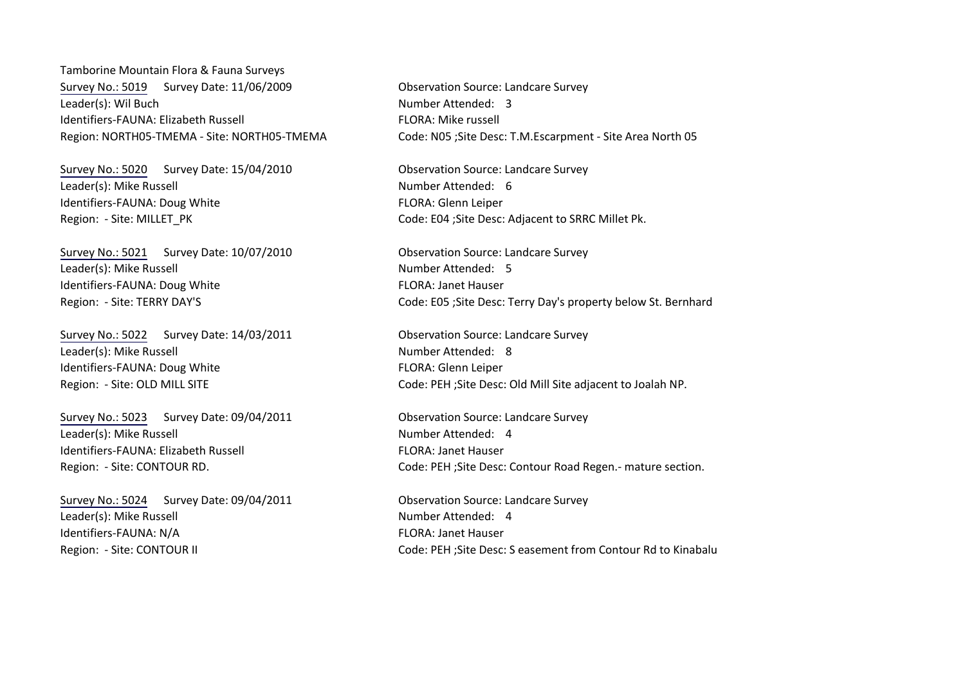Tamborine Mountain Flora & Fauna Surveys [Survey No.: 5019](http://www.tamborinemtnlandcare.org.au/downloads/biodat/SURV5019.pdf) Survey Date: 11/06/2009 Observation Source: Landcare Survey Leader(s): Wil Buch Number Attended: 3 Identifiers-FAUNA: Elizabeth Russell FLORA: Mike russell

[Survey No.: 5020](http://www.tamborinemtnlandcare.org.au/downloads/biodat/SURV5020.pdf) Survey Date: 15/04/2010 Observation Source: Landcare Survey Leader(s): Mike Russell Number Attended: 6 Identifiers-FAUNA: Doug White FLORA: Glenn Leiper

[Survey No.: 5021](http://www.tamborinemtnlandcare.org.au/downloads/biodat/SURV5021.pdf) Survey Date: 10/07/2010 Observation Source: Landcare Survey Leader(s): Mike Russell Number Attended: 5 Identifiers-FAUNA: Doug White FLORA: Janet Hauser

[Survey No.: 5022](http://www.tamborinemtnlandcare.org.au/downloads/biodat/SURV5022.pdf) Survey Date: 14/03/2011 Observation Source: Landcare Survey Leader(s): Mike Russell Number Attended: 8 Identifiers-FAUNA: Doug White FLORA: Glenn Leiper

[Survey No.: 5023](http://www.tamborinemtnlandcare.org.au/downloads/biodat/SURV5023.pdf) Survey Date: 09/04/2011 Observation Source: Landcare Survey Leader(s): Mike Russell Number Attended: 4 Identifiers-FAUNA: Elizabeth Russell FLORA: Janet Hauser

[Survey No.: 5024](http://www.tamborinemtnlandcare.org.au/downloads/biodat/SURV5024.pdf) Survey Date: 09/04/2011 Observation Source: Landcare Survey Leader(s): Mike Russell Number Attended: 4 Identifiers-FAUNA: N/A FLORA: Janet Hauser

Region: NORTH05-TMEMA - Site: NORTH05-TMEMA Code: N05 ;Site Desc: T.M.Escarpment - Site Area North 05

Region: - Site: MILLET\_PK Code: E04 ;Site Desc: Adjacent to SRRC Millet Pk.

Region: - Site: TERRY DAY'S Code: E05 ; Site Desc: Terry Day's property below St. Bernhard

Region: - Site: OLD MILL SITE **Code: PEH ;Site Desc: Old Mill Site adjacent to Joalah NP.** 

Region: - Site: CONTOUR RD. Code: PEH ; Site Desc: Contour Road Regen.- mature section.

Region: - Site: CONTOUR II Code: PEH ;Site Desc: S easement from Contour Rd to Kinabalu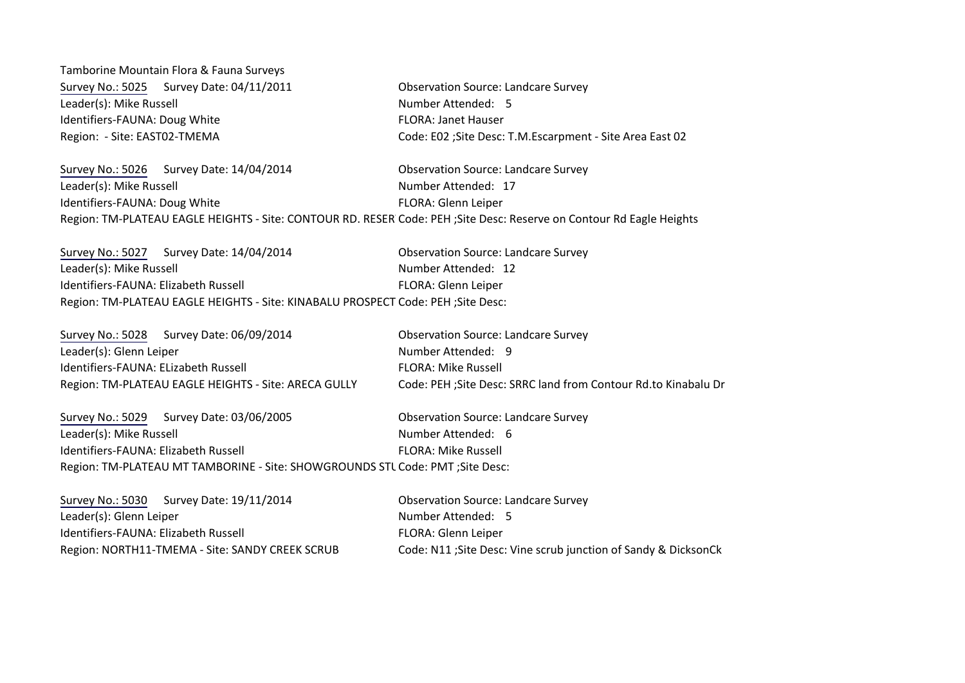Tamborine Mountain Flora & Fauna Surveys [Survey No.: 5025](http://www.tamborinemtnlandcare.org.au/downloads/biodat/SURV5025.pdf) Survey Date: 04/11/2011 Qbservation Source: Landcare Survey Leader(s): Mike Russell **Number Attended: 5** Identifiers-FAUNA: Doug White FLORA: Janet Hauser Region: - Site: EAST02-TMEMA Code: E02 ;Site Desc: T.M.Escarpment - Site Area East 02

[Survey No.: 5026](http://www.tamborinemtnlandcare.org.au/downloads/biodat/SURV5026.pdf) Survey Date: 14/04/2014 Observation Source: Landcare Survey Leader(s): Mike Russell Number Attended: 17 Identifiers-FAUNA: Doug White FLORA: Glenn Leiper Region: TM-PLATEAU EAGLE HEIGHTS - Site: CONTOUR RD. RESER' Code: PEH ;Site Desc: Reserve on Contour Rd Eagle Heights

[Survey No.: 5027](http://www.tamborinemtnlandcare.org.au/downloads/biodat/SURV5027.pdf) Survey Date: 14/04/2014 Observation Source: Landcare Survey Leader(s): Mike Russell Number Attended: 12 Identifiers-FAUNA: Elizabeth Russell FLORA: Glenn Leiper Region: TM-PLATEAU EAGLE HEIGHTS - Site: KINABALU PROSPECT Code: PEH ;Site Desc:

| Survey No.: 5028 Survey Date: 06/09/2014             | <b>Observation Source: Landcare Survey</b>                      |
|------------------------------------------------------|-----------------------------------------------------------------|
| Leader(s): Glenn Leiper                              | Number Attended: 9                                              |
| Identifiers-FAUNA: ELizabeth Russell                 | <b>FLORA: Mike Russell</b>                                      |
| Region: TM-PLATEAU EAGLE HEIGHTS - Site: ARECA GULLY | Code: PEH ; Site Desc: SRRC land from Contour Rd.to Kinabalu Dr |

|                                                                                | Survey No.: 5029 Survey Date: 03/06/2005 | <b>Observation Source: Landcare Survey</b> |
|--------------------------------------------------------------------------------|------------------------------------------|--------------------------------------------|
| Leader(s): Mike Russell                                                        |                                          | Number Attended: 6                         |
| Identifiers-FAUNA: Elizabeth Russell                                           |                                          | <b>FLORA: Mike Russell</b>                 |
| Region: TM-PLATEAU MT TAMBORINE - Site: SHOWGROUNDS STL Code: PMT ; Site Desc: |                                          |                                            |

| Survey No.: 5030 Survey Date: 19/11/2014        | <b>Observation Source: Landcare Survey</b>                      |
|-------------------------------------------------|-----------------------------------------------------------------|
| Leader(s): Glenn Leiper                         | Number Attended: 5                                              |
| Identifiers-FAUNA: Elizabeth Russell            | <b>FLORA: Glenn Leiper</b>                                      |
| Region: NORTH11-TMEMA - Site: SANDY CREEK SCRUB | Code: N11 ; Site Desc: Vine scrub junction of Sandy & DicksonCk |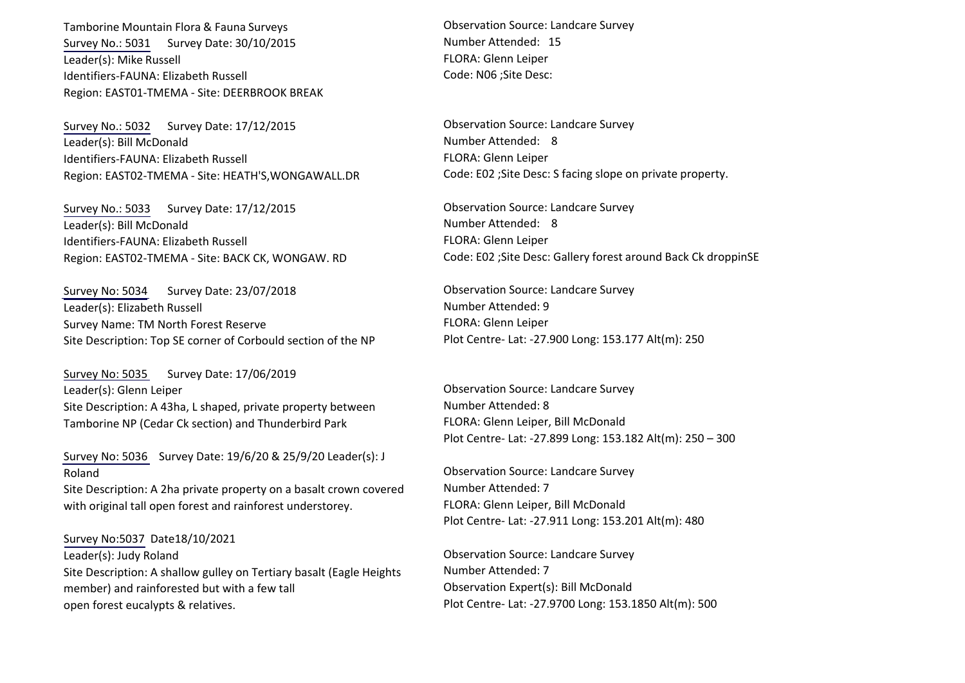Tamborine Mountain Flora & Fauna Surveys [Survey No.: 5031](http://www.tamborinemtnlandcare.org.au/downloads/biodat/SURV5031.pdf) Survey Date: 30/10/2015 Leader(s): Mike Russell Identifiers-FAUNA: Elizabeth Russell Region: EAST01-TMEMA - Site: DEERBROOK BREAK

[Survey No.: 5032](http://www.tamborinemtnlandcare.org.au/downloads/biodat/SURV5032.pdf) Survey Date: 17/12/2015 Leader(s): Bill McDonald Identifiers-FAUNA: Elizabeth Russell Region: EAST02-TMEMA - Site: HEATH'S,WONGAWALL.DR

[Survey No.: 5033](http://www.tamborinemtnlandcare.org.au/downloads/biodat/SURV5033.pdf) Survey Date: 17/12/2015 Leader(s): Bill McDonald Identifiers-FAUNA: Elizabeth Russell Region: EAST02-TMEMA - Site: BACK CK, WONGAW. RD

[Survey No: 5034](http://www.tamborinemtnlandcare.org.au/downloads/biodat/SURV5034.pdf) Survey Date: 23/07/2018 Leader(s): Elizabeth Russell Survey Name: TM North Forest Reserve Site Description: Top SE corner of Corbould section of the NP

[Survey No: 5035](http://www.tamborinemtnlandcare.org.au/downloads/biodat/SURV5035.pdf) Survey Date: 17/06/2019 Leader(s): Glenn Leiper Site Description: A 43ha, L shaped, private property between Tamborine NP (Cedar Ck section) and Thunderbird Park

[Survey No: 5036](http://www.tamborinemtnlandcare.org.au/downloads/biodat/SURV5036.pdf) Survey Date: 19/6/20 & 25/9/20 Leader(s): J Roland

Site Description: A 2ha private property on a basalt crown covered with original tall open forest and rainforest understorey.

Survey No:5037 Date18/10/2021 Leader(s): Judy Roland Site Description: A shallow gulley on Tertiary basalt (Eagle Heights member) and rainforested but with a few tall open forest eucalypts & relatives.

Observation Source: Landcare Survey Number Attended: 15 FLORA: Glenn Leiper Code: N06 ;Site Desc:

Observation Source: Landcare Survey Number Attended: 8 FLORA: Glenn Leiper Code: E02 ;Site Desc: S facing slope on private property.

Observation Source: Landcare Survey Number Attended: 8 FLORA: Glenn Leiper Code: E02 ;Site Desc: Gallery forest around Back Ck droppinSE

Observation Source: Landcare Survey Number Attended: 9 FLORA: Glenn Leiper Plot Centre- Lat: -27.900 Long: 153.177 Alt(m): 250

Observation Source: Landcare Survey Number Attended: 8 FLORA: Glenn Leiper, Bill McDonald Plot Centre- Lat: -27.899 Long: 153.182 Alt(m): 250 – 300

Observation Source: Landcare Survey Number Attended: 7 FLORA: Glenn Leiper, Bill McDonald Plot Centre- Lat: -27.911 Long: 153.201 Alt(m): 480

Observation Source: Landcare Survey Number Attended: 7 Observation Expert(s): Bill McDonald Plot Centre- Lat: -27.9700 Long: 153.1850 Alt(m): 500